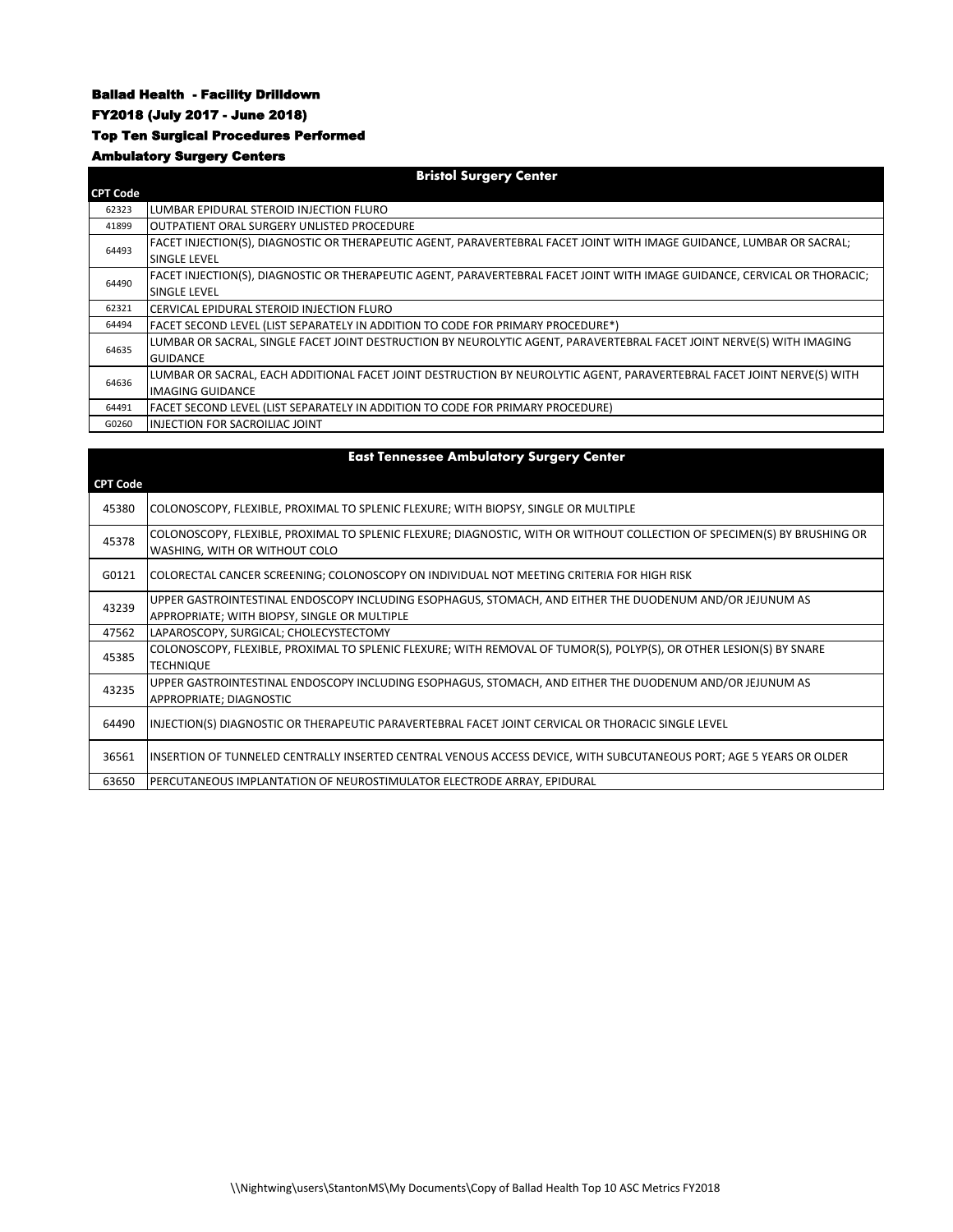#### Ballad Health - Facility Drilldown

### FY2018 (July 2017 - June 2018)

### Top Ten Surgical Procedures Performed

# Ambulatory Surgery Centers

| <b>Bristol Surgery Center</b> |                                                                                                                           |  |
|-------------------------------|---------------------------------------------------------------------------------------------------------------------------|--|
| <b>CPT Code</b>               |                                                                                                                           |  |
| 62323                         | LUMBAR EPIDURAL STEROID INJECTION FLURO                                                                                   |  |
| 41899                         | OUTPATIENT ORAL SURGERY UNLISTED PROCEDURE                                                                                |  |
| 64493                         | FACET INJECTION(S), DIAGNOSTIC OR THERAPEUTIC AGENT, PARAVERTEBRAL FACET JOINT WITH IMAGE GUIDANCE, LUMBAR OR SACRAL;     |  |
|                               | <b>SINGLE LEVEL</b>                                                                                                       |  |
| 64490                         | FACET INJECTION(S), DIAGNOSTIC OR THERAPEUTIC AGENT, PARAVERTEBRAL FACET JOINT WITH IMAGE GUIDANCE, CERVICAL OR THORACIC; |  |
|                               | <b>SINGLE LEVEL</b>                                                                                                       |  |
| 62321                         | CERVICAL EPIDURAL STEROID INJECTION FLURO                                                                                 |  |
|                               |                                                                                                                           |  |
| 64494                         | <b>FACET SECOND LEVEL (LIST SEPARATELY IN ADDITION TO CODE FOR PRIMARY PROCEDURE*)</b>                                    |  |
|                               | LUMBAR OR SACRAL, SINGLE FACET JOINT DESTRUCTION BY NEUROLYTIC AGENT, PARAVERTEBRAL FACET JOINT NERVE(S) WITH IMAGING     |  |
| 64635                         | <b>GUIDANCE</b>                                                                                                           |  |
|                               | LUMBAR OR SACRAL, EACH ADDITIONAL FACET JOINT DESTRUCTION BY NEUROLYTIC AGENT, PARAVERTEBRAL FACET JOINT NERVE(S) WITH    |  |
| 64636                         | IMAGING GUIDANCE                                                                                                          |  |
| 64491                         | FACET SECOND LEVEL (LIST SEPARATELY IN ADDITION TO CODE FOR PRIMARY PROCEDURE)                                            |  |

| <b>East Tennessee Ambulatory Surgery Center</b> |                                                                                                                                                           |  |
|-------------------------------------------------|-----------------------------------------------------------------------------------------------------------------------------------------------------------|--|
| <b>CPT Code</b>                                 |                                                                                                                                                           |  |
| 45380                                           | COLONOSCOPY, FLEXIBLE, PROXIMAL TO SPLENIC FLEXURE; WITH BIOPSY, SINGLE OR MULTIPLE                                                                       |  |
| 45378                                           | COLONOSCOPY, FLEXIBLE, PROXIMAL TO SPLENIC FLEXURE; DIAGNOSTIC, WITH OR WITHOUT COLLECTION OF SPECIMEN(S) BY BRUSHING OR<br>WASHING, WITH OR WITHOUT COLO |  |
| G0121                                           | COLORECTAL CANCER SCREENING; COLONOSCOPY ON INDIVIDUAL NOT MEETING CRITERIA FOR HIGH RISK                                                                 |  |
| 43239                                           | UPPER GASTROINTESTINAL ENDOSCOPY INCLUDING ESOPHAGUS, STOMACH, AND EITHER THE DUODENUM AND/OR JEJUNUM AS<br>APPROPRIATE; WITH BIOPSY, SINGLE OR MULTIPLE  |  |
| 47562                                           | LAPAROSCOPY, SURGICAL; CHOLECYSTECTOMY                                                                                                                    |  |
| 45385                                           | COLONOSCOPY, FLEXIBLE, PROXIMAL TO SPLENIC FLEXURE; WITH REMOVAL OF TUMOR(S), POLYP(S), OR OTHER LESION(S) BY SNARE<br><b>TECHNIQUE</b>                   |  |
| 43235                                           | UPPER GASTROINTESTINAL ENDOSCOPY INCLUDING ESOPHAGUS, STOMACH, AND EITHER THE DUODENUM AND/OR JEJUNUM AS<br>APPROPRIATE; DIAGNOSTIC                       |  |
| 64490                                           | INJECTION(S) DIAGNOSTIC OR THERAPEUTIC PARAVERTEBRAL FACET JOINT CERVICAL OR THORACIC SINGLE LEVEL                                                        |  |
| 36561                                           | INSERTION OF TUNNELED CENTRALLY INSERTED CENTRAL VENOUS ACCESS DEVICE, WITH SUBCUTANEOUS PORT; AGE 5 YEARS OR OLDER                                       |  |
| 63650                                           | PERCUTANEOUS IMPLANTATION OF NEUROSTIMULATOR ELECTRODE ARRAY, EPIDURAL                                                                                    |  |

#### \\Nightwing\users\StantonMS\My Documents\Copy of Ballad Health Top 10 ASC Metrics FY2018